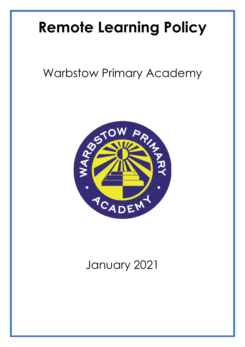# **Remote Learning Policy**

# Warbstow Primary Academy



# January 2021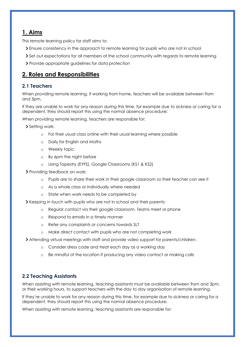# **1. Aims**

This remote learning policy for staff aims to:

- Ensure consistency in the approach to remote learning for pupils who are not in school
- Set out expectations for all members of the school community with regards to remote learning
- Provide appropriate guidelines for data protection

## **2. Roles and Responsibilities**

#### **2.1 Teachers**

When providing remote learning, if working from home, teachers will be available between 9am and 3pm.

If they are unable to work for any reason during this time, for example due to sickness or caring for a dependent, they should report this using the normal absence procedure:

When providing remote learning, teachers are responsible for:

> Setting work:

- o For their usual class online with their usual learning where possible
- o Daily for English and Maths
- o Weekly topic
- o By 6pm the night before
- o Using Tapestry (EYFS), Google Classrooms (KS1 & KS2)
- **>** Providing feedback on work:
	- o Pupils are to share their work in their google classroom so their teacher can see it
	- o As a whole class or individually where needed
	- o State when work needs to be completed by
- If Keeping in touch with pupils who are not in school and their parents:
	- o Regular contact via their google classroom, Teams meet or phone
	- o Respond to emails in a timely manner
	- o Refer any complaints or concerns towards SLT
	- o Make direct contact with pupils who are not completing work
- Attending virtual meetings with staff and provide video support for parents/children:
	- o Consider dress code and treat each day as a working day
	- o Be mindful of the location if producing any video contact or making calls

#### **2.2 Teaching Assistants**

When assisting with remote learning, teaching assistants must be available between 9am and 3pm, or their working hours, to support teachers with the day to day organisation of remote learning.

If they're unable to work for any reason during this time, for example due to sickness or caring for a dependent, they should report this using the normal absence procedure.

When assisting with remote learning, teaching assistants are responsible for: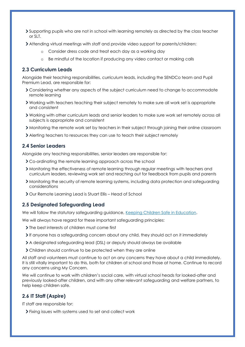- Supporting pupils who are not in school with learning remotely as directed by the class teacher or SLT.
- Attending virtual meetings with staff and provide video support for parents/children:
	- o Consider dress code and treat each day as a working day
	- o Be mindful of the location if producing any video contact or making calls

#### **2.3 Curriculum Leads**

Alongside their teaching responsibilities, curriculum leads, including the SENDCo team and Pupil Premium Lead, are responsible for:

- Considering whether any aspects of the subject curriculum need to change to accommodate remote learning
- Working with teachers teaching their subject remotely to make sure all work set is appropriate and consistent
- Working with other curriculum leads and senior leaders to make sure work set remotely across all subjects is appropriate and consistent
- Monitoring the remote work set by teachers in their subject through joining their online classroom
- Alerting teachers to resources they can use to teach their subject remotely

#### **2.4 Senior Leaders**

Alongside any teaching responsibilities, senior leaders are responsible for:

- Co-ordinating the remote learning approach across the school
- Monitoring the effectiveness of remote learning through regular meetings with teachers and curriculum leaders, reviewing work set and reaching out for feedback from pupils and parents
- Monitoring the security of remote learning systems, including data protection and safeguarding considerations
- Our Remote Learning Lead is Stuart Ellis Head of School

#### **2.5 Designated Safeguarding Lead**

We will follow the statutory safeguarding guidance, [Keeping Children Safe in Education.](https://www.gov.uk/government/publications/keeping-children-safe-in-education--2)

We will always have regard for these important safeguarding principles:

- If  $\sum$  The best interests of children must come first
- If anyone has a safeguarding concern about any child, they should act on it immediately
- A designated safeguarding lead (DSL) or deputy should always be available
- Children should continue to be protected when they are online

All staff and volunteers must continue to act on any concerns they have about a child immediately. It is still vitally important to do this, both for children at school and those at home. Continue to record any concerns using My Concern.

We will continue to work with children's social care, with virtual school heads for looked-after and previously looked-after children, and with any other relevant safeguarding and welfare partners, to help keep children safe.

#### **2.6 IT Staff (Aspire)**

IT staff are responsible for:

Fixing issues with systems used to set and collect work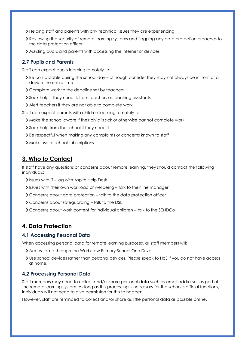- Helping staff and parents with any technical issues they are experiencing
- Reviewing the security of remote learning systems and flagging any data protection breaches to the data protection officer
- Assisting pupils and parents with accessing the internet or devices

#### **2.7 Pupils and Parents**

Staff can expect pupils learning remotely to:

- $\geq$  Be contactable during the school day although consider they may not always be in front of a device the entire time
- Complete work to the deadline set by teachers
- Seek help if they need it, from teachers or teaching assistants
- Alert teachers if they are not able to complete work

Staff can expect parents with children learning remotely to:

- Make the school aware if their child is sick or otherwise cannot complete work
- Seek help from the school if they need it
- Be respectful when making any complaints or concerns known to staff
- > Make use of school subscriptions

# **3. Who to Contact**

If staff have any questions or concerns about remote learning, they should contact the following individuals:

- If Issues with IT log with Aspire Help Desk
- Issues with their own workload or wellbeing talk to their line manager
- Concerns about data protection talk to the data protection officer
- Concerns about safeguarding talk to the DSL
- Concerns about work content for individual children talk to the SENDCo

## **4. Data Protection**

#### **4.1 Accessing Personal Data**

When accessing personal data for remote learning purposes, all staff members will:

- Access data through the Warbstow Primary School One Drive
- Use school devices rather than personal devices. Please speak to HoS if you do not have access at home.

#### **4.2 Processing Personal Data**

Staff members may need to collect and/or share personal data such as email addresses as part of the remote learning system. As long as this processing is necessary for the school's official functions, individuals will not need to give permission for this to happen.

However, staff are reminded to collect and/or share as little personal data as possible online.